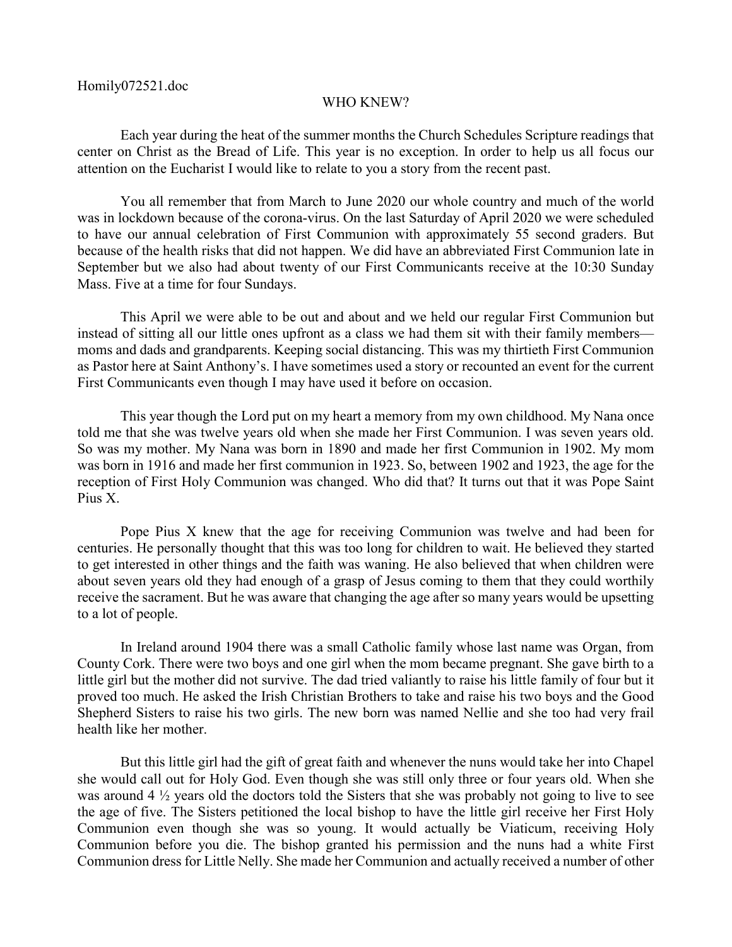## WHO KNEW?

Each year during the heat of the summer months the Church Schedules Scripture readings that center on Christ as the Bread of Life. This year is no exception. In order to help us all focus our attention on the Eucharist I would like to relate to you a story from the recent past.

You all remember that from March to June 2020 our whole country and much of the world was in lockdown because of the corona-virus. On the last Saturday of April 2020 we were scheduled to have our annual celebration of First Communion with approximately 55 second graders. But because of the health risks that did not happen. We did have an abbreviated First Communion late in September but we also had about twenty of our First Communicants receive at the 10:30 Sunday Mass. Five at a time for four Sundays.

This April we were able to be out and about and we held our regular First Communion but instead of sitting all our little ones upfront as a class we had them sit with their family members moms and dads and grandparents. Keeping social distancing. This was my thirtieth First Communion as Pastor here at Saint Anthony's. I have sometimes used a story or recounted an event for the current First Communicants even though I may have used it before on occasion.

This year though the Lord put on my heart a memory from my own childhood. My Nana once told me that she was twelve years old when she made her First Communion. I was seven years old. So was my mother. My Nana was born in 1890 and made her first Communion in 1902. My mom was born in 1916 and made her first communion in 1923. So, between 1902 and 1923, the age for the reception of First Holy Communion was changed. Who did that? It turns out that it was Pope Saint Pius X.

Pope Pius X knew that the age for receiving Communion was twelve and had been for centuries. He personally thought that this was too long for children to wait. He believed they started to get interested in other things and the faith was waning. He also believed that when children were about seven years old they had enough of a grasp of Jesus coming to them that they could worthily receive the sacrament. But he was aware that changing the age after so many years would be upsetting to a lot of people.

In Ireland around 1904 there was a small Catholic family whose last name was Organ, from County Cork. There were two boys and one girl when the mom became pregnant. She gave birth to a little girl but the mother did not survive. The dad tried valiantly to raise his little family of four but it proved too much. He asked the Irish Christian Brothers to take and raise his two boys and the Good Shepherd Sisters to raise his two girls. The new born was named Nellie and she too had very frail health like her mother.

But this little girl had the gift of great faith and whenever the nuns would take her into Chapel she would call out for Holy God. Even though she was still only three or four years old. When she was around 4 ½ years old the doctors told the Sisters that she was probably not going to live to see the age of five. The Sisters petitioned the local bishop to have the little girl receive her First Holy Communion even though she was so young. It would actually be Viaticum, receiving Holy Communion before you die. The bishop granted his permission and the nuns had a white First Communion dress for Little Nelly. She made her Communion and actually received a number of other